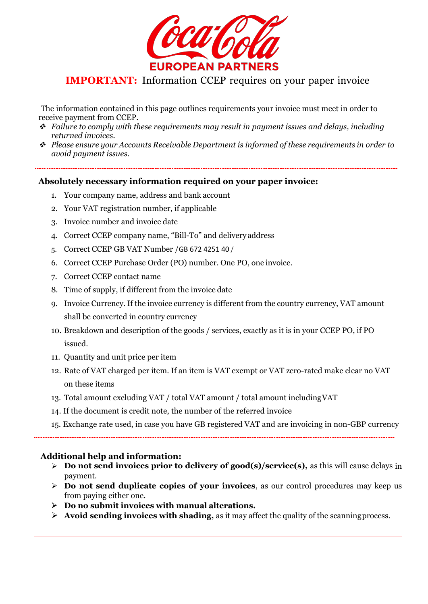

# IMPORTANT: Information CCEP requires on your paper invoice

The information contained in this page outlines requirements your invoice must meet in order to receive payment from CCEP. <sup>v</sup> *Failure to comply with these requirements may result in payment issues and delays, including*

- returned invoices.<br>Please ensure your Accounts Receivable Department is informed of these requirements in order to  $\cdot$
- *avoid payment issues.*

### Absolutely necessary information required on your paper invoice:

- 1. Your company name, address and bank account
- 2. Your VAT registration number, if applicable
- 3. Invoice number and invoice date
- 4. Correct CCEP company name, "Bill-To" and delivery address
- 5. Correct CCEP GB VAT Number/GB 672 4251 40 /
- 6. Correct CCEP Purchase Order (PO) number. One PO, one invoice.
- 7. Correct CCEP contact name
- 8. Time of supply, if different from the invoice date
- 9. Invoice Currency. If the invoice currency is different from the country currency, VAT amount shall be converted in country currency
- 10. Breakdown and description of the goods / services, exactly as it is in your CCEP PO, if PO issued.
- 11. Quantity and unit price per item
- 12. Rate of VAT charged per item. If an item is VAT exempt or VAT zero-rated make clear no VAT on these items
- 13. Total amount excluding VAT / total VAT amount / total amount includingVAT
- 14. If the document is credit note, the number of the referred invoice
- 15. Exchange rate used, in case you have GB registered VAT and areinvoicing in non-GBP currency

### Additional help and information:

- $\triangleright$  Do not send invoices prior to delivery of good(s)/service(s), as this will cause delays in payment.
- $\triangleright$  Do not send duplicate copies of your invoices, as our control procedures may keep us from paying either one.
- $\triangleright$  Do no submit invoices with manual alterations.
- $\triangleright$  Avoid sending invoices with shading, as it may affect the quality of the scanning process.